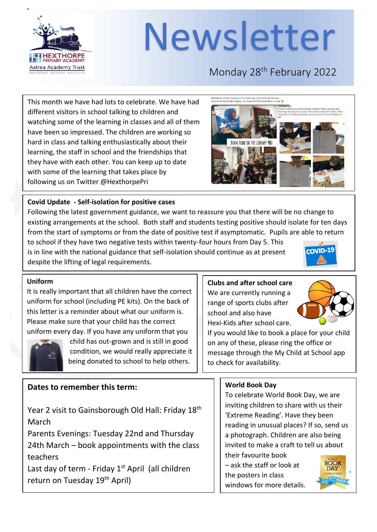

# Newsletter

### Monday 28<sup>th</sup> February 2022

This month we have had lots to celebrate. We have had different visitors in school talking to children and watching some of the learning in classes and all of them have been so impressed. The children are working so hard in class and talking enthusiastically about their learning, the staff in school and the friendships that they have with each other. You can keep up to date with some of the learning that takes place by following us on Twitter @HexthorpePri

# **BOOK TIME IN THE LIBRARY &**

#### **Covid Update - Self-isolation for positive cases**

Following the latest government guidance, we want to reassure you that there will be no change to existing arrangements at the school. Both staff and students testing positive should isolate for ten days from the start of symptoms or from the date of positive test if asymptomatic. Pupils are able to return

to school if they have two negative tests within twenty-four hours from Day 5. This is in line with the national guidance that self-isolation should continue as at present despite the lifting of legal requirements.



#### **Uniform**

It is really important that all children have the correct uniform for school (including PE kits). On the back of this letter is a reminder about what our uniform is. Please make sure that your child has the correct uniform every day. If you have any uniform that you



 child has out-grown and is still in good condition, we would really appreciate it being donated to school to help others.

#### **Dates to remember this term:**

Year 2 visit to Gainsborough Old Hall: Friday 18<sup>th</sup> March

Parents Evenings: Tuesday 22nd and Thursday 24th March – book appointments with the class teachers

Last day of term - Friday  $1<sup>st</sup>$  April (all children return on Tuesday 19<sup>th</sup> April)

#### **Clubs and after school care**

We are currently running a range of sports clubs after school and also have Hexi-Kids after school care.



If you would like to book a place for your child on any of these, please ring the office or message through the My Child at School app to check for availability.

#### **World Book Day**

To celebrate World Book Day, we are inviting children to share with us their 'Extreme Reading'. Have they been reading in unusual places? If so, send us a photograph. Children are also being invited to make a craft to tell us about their favourite book

– ask the staff or look at the posters in class windows for more details.